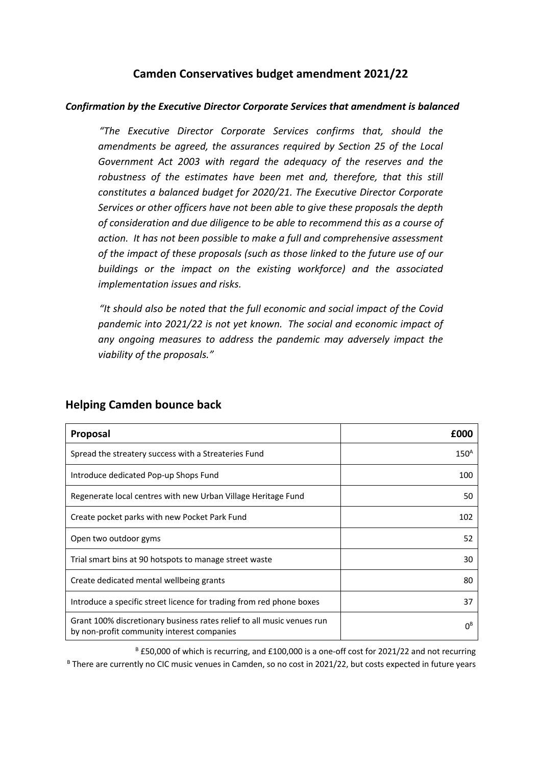### **Camden Conservatives budget amendment 2021/22**

#### *Confirmation by the Executive Director Corporate Services that amendment is balanced*

*"The Executive Director Corporate Services confirms that, should the amendments be agreed, the assurances required by Section 25 of the Local Government Act 2003 with regard the adequacy of the reserves and the robustness of the estimates have been met and, therefore, that this still constitutes a balanced budget for 2020/21. The Executive Director Corporate Services or other officers have not been able to give these proposals the depth of consideration and due diligence to be able to recommend this as a course of action. It has not been possible to make a full and comprehensive assessment of the impact of these proposals (such as those linked to the future use of our buildings or the impact on the existing workforce) and the associated implementation issues and risks.*

*"It should also be noted that the full economic and social impact of the Covid pandemic into 2021/22 is not yet known. The social and economic impact of any ongoing measures to address the pandemic may adversely impact the viability of the proposals."*

| Proposal                                                                                                             | f000             |
|----------------------------------------------------------------------------------------------------------------------|------------------|
| Spread the streatery success with a Streateries Fund                                                                 | 150 <sup>A</sup> |
| Introduce dedicated Pop-up Shops Fund                                                                                | 100              |
| Regenerate local centres with new Urban Village Heritage Fund                                                        | 50               |
| Create pocket parks with new Pocket Park Fund                                                                        | 102              |
| Open two outdoor gyms                                                                                                | 52               |
| Trial smart bins at 90 hotspots to manage street waste                                                               | 30               |
| Create dedicated mental wellbeing grants                                                                             | 80               |
| Introduce a specific street licence for trading from red phone boxes                                                 | 37               |
| Grant 100% discretionary business rates relief to all music venues run<br>by non-profit community interest companies | ΩB               |

#### **Helping Camden bounce back**

<sup>B</sup> £50,000 of which is recurring, and £100,000 is a one-off cost for 2021/22 and not recurring <sup>B</sup> There are currently no CIC music venues in Camden, so no cost in 2021/22, but costs expected in future years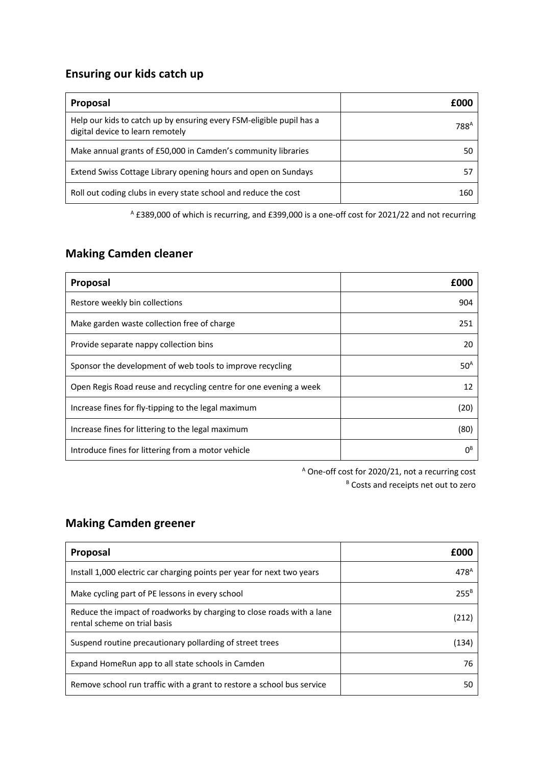## **Ensuring our kids catch up**

| <b>Proposal</b>                                                                                          | £000             |
|----------------------------------------------------------------------------------------------------------|------------------|
| Help our kids to catch up by ensuring every FSM-eligible pupil has a<br>digital device to learn remotely | 788 <sup>A</sup> |
| Make annual grants of £50,000 in Camden's community libraries                                            | 50               |
| Extend Swiss Cottage Library opening hours and open on Sundays                                           |                  |
| Roll out coding clubs in every state school and reduce the cost                                          | 160              |

<sup>A</sup> £389,000 of which is recurring, and £399,000 is a one-off cost for 2021/22 and not recurring

# **Making Camden cleaner**

| Proposal                                                          | f000            |
|-------------------------------------------------------------------|-----------------|
| Restore weekly bin collections                                    | 904             |
| Make garden waste collection free of charge                       | 251             |
| Provide separate nappy collection bins                            | 20              |
| Sponsor the development of web tools to improve recycling         | 50 <sup>A</sup> |
| Open Regis Road reuse and recycling centre for one evening a week | 12              |
| Increase fines for fly-tipping to the legal maximum               | (20)            |
| Increase fines for littering to the legal maximum                 | (80)            |
| Introduce fines for littering from a motor vehicle                | ΩB              |

<sup>A</sup> One-off cost for 2020/21, not a recurring cost <sup>B</sup> Costs and receipts net out to zero

### **Making Camden greener**

| Proposal                                                                                              | f000             |
|-------------------------------------------------------------------------------------------------------|------------------|
| Install 1,000 electric car charging points per year for next two years                                | 478 <sup>A</sup> |
| Make cycling part of PE lessons in every school                                                       | $255^B$          |
| Reduce the impact of roadworks by charging to close roads with a lane<br>rental scheme on trial basis | (212             |
| Suspend routine precautionary pollarding of street trees                                              | (134)            |
| Expand HomeRun app to all state schools in Camden                                                     | 76               |
| Remove school run traffic with a grant to restore a school bus service                                | 50               |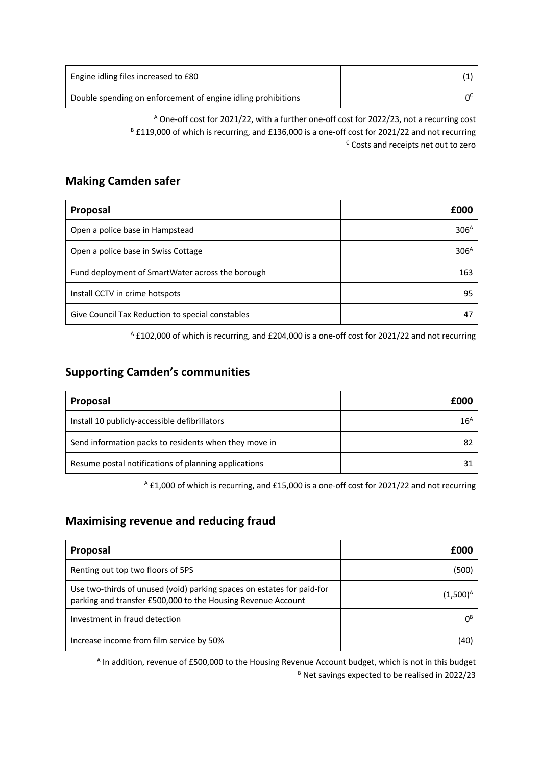| Engine idling files increased to £80                         |  |
|--------------------------------------------------------------|--|
| Double spending on enforcement of engine idling prohibitions |  |

<sup>A</sup> One-off cost for 2021/22, with a further one-off cost for 2022/23, not a recurring cost <sup>B</sup> £119,000 of which is recurring, and £136,000 is a one-off cost for 2021/22 and not recurring <sup>c</sup> Costs and receipts net out to zero

#### **Making Camden safer**

| Proposal                                         | foor             |
|--------------------------------------------------|------------------|
| Open a police base in Hampstead                  | 306 <sup>A</sup> |
| Open a police base in Swiss Cottage              | 306 <sup>A</sup> |
| Fund deployment of SmartWater across the borough | 163              |
| Install CCTV in crime hotspots                   | 95               |
| Give Council Tax Reduction to special constables |                  |

<sup>A</sup> £102,000 of which is recurring, and £204,000 is a one-off cost for 2021/22 and not recurring

### **Supporting Camden's communities**

| <b>Proposal</b>                                       | £000            |
|-------------------------------------------------------|-----------------|
| Install 10 publicly-accessible defibrillators         | $16^{\text{A}}$ |
| Send information packs to residents when they move in | 82              |
| Resume postal notifications of planning applications  | 31              |

<sup>A</sup> £1,000 of which is recurring, and £15,000 is a one-off cost for 2021/22 and not recurring

## **Maximising revenue and reducing fraud**

| Proposal                                                                                                                               | £000           |
|----------------------------------------------------------------------------------------------------------------------------------------|----------------|
| Renting out top two floors of 5PS                                                                                                      | (500)          |
| Use two-thirds of unused (void) parking spaces on estates for paid-for<br>parking and transfer £500,000 to the Housing Revenue Account | (1,500)        |
| Investment in fraud detection                                                                                                          | 0 <sup>B</sup> |
| Increase income from film service by 50%                                                                                               | 40             |

<sup>A</sup> In addition, revenue of £500,000 to the Housing Revenue Account budget, which is not in this budget <sup>B</sup> Net savings expected to be realised in 2022/23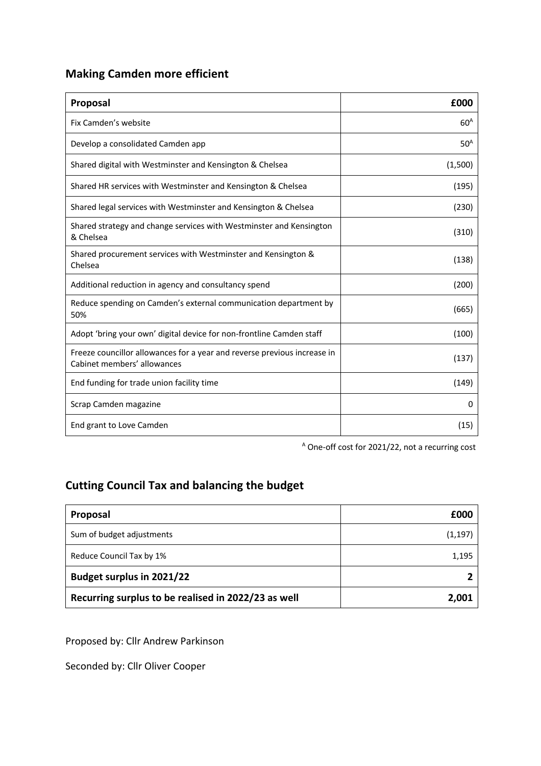# **Making Camden more efficient**

| Proposal                                                                                                | £000            |
|---------------------------------------------------------------------------------------------------------|-----------------|
| Fix Camden's website                                                                                    | 60 <sup>A</sup> |
| Develop a consolidated Camden app                                                                       | 50 <sup>A</sup> |
| Shared digital with Westminster and Kensington & Chelsea                                                | (1,500)         |
| Shared HR services with Westminster and Kensington & Chelsea                                            | (195)           |
| Shared legal services with Westminster and Kensington & Chelsea                                         | (230)           |
| Shared strategy and change services with Westminster and Kensington<br>& Chelsea                        | (310)           |
| Shared procurement services with Westminster and Kensington &<br>Chelsea                                | (138)           |
| Additional reduction in agency and consultancy spend                                                    | (200)           |
| Reduce spending on Camden's external communication department by<br>50%                                 | (665)           |
| Adopt 'bring your own' digital device for non-frontline Camden staff                                    | (100)           |
| Freeze councillor allowances for a year and reverse previous increase in<br>Cabinet members' allowances | (137)           |
| End funding for trade union facility time                                                               | (149)           |
| Scrap Camden magazine                                                                                   | 0               |
| End grant to Love Camden                                                                                | (15)            |

<sup>A</sup> One-off cost for 2021/22, not a recurring cost

# **Cutting Council Tax and balancing the budget**

| Proposal                                            | £000     |
|-----------------------------------------------------|----------|
| Sum of budget adjustments                           | (1, 197) |
| Reduce Council Tax by 1%                            | 1,195    |
| <b>Budget surplus in 2021/22</b>                    |          |
| Recurring surplus to be realised in 2022/23 as well | 2,001    |

Proposed by: Cllr Andrew Parkinson

Seconded by: Cllr Oliver Cooper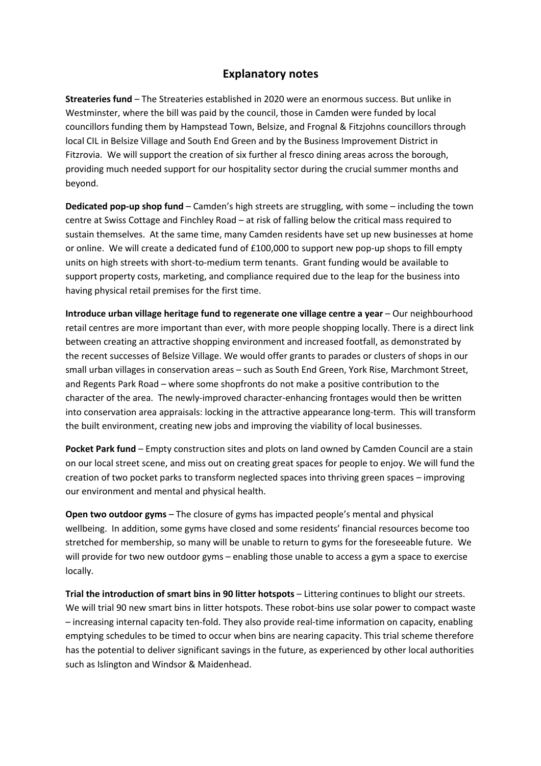#### **Explanatory notes**

**Streateries fund** – The Streateries established in 2020 were an enormous success. But unlike in Westminster, where the bill was paid by the council, those in Camden were funded by local councillors funding them by Hampstead Town, Belsize, and Frognal & Fitzjohns councillors through local CIL in Belsize Village and South End Green and by the Business Improvement District in Fitzrovia. We will support the creation of six further al fresco dining areas across the borough, providing much needed support for our hospitality sector during the crucial summer months and beyond.

**Dedicated pop-up shop fund** – Camden's high streets are struggling, with some – including the town centre at Swiss Cottage and Finchley Road – at risk of falling below the critical mass required to sustain themselves. At the same time, many Camden residents have set up new businesses at home or online. We will create a dedicated fund of £100,000 to support new pop-up shops to fill empty units on high streets with short-to-medium term tenants. Grant funding would be available to support property costs, marketing, and compliance required due to the leap for the business into having physical retail premises for the first time.

**Introduce urban village heritage fund to regenerate one village centre a year** – Our neighbourhood retail centres are more important than ever, with more people shopping locally. There is a direct link between creating an attractive shopping environment and increased footfall, as demonstrated by the recent successes of Belsize Village. We would offer grants to parades or clusters of shops in our small urban villages in conservation areas – such as South End Green, York Rise, Marchmont Street, and Regents Park Road – where some shopfronts do not make a positive contribution to the character of the area. The newly-improved character-enhancing frontages would then be written into conservation area appraisals: locking in the attractive appearance long-term. This will transform the built environment, creating new jobs and improving the viability of local businesses.

**Pocket Park fund** – Empty construction sites and plots on land owned by Camden Council are a stain on our local street scene, and miss out on creating great spaces for people to enjoy. We will fund the creation of two pocket parks to transform neglected spaces into thriving green spaces – improving our environment and mental and physical health.

**Open two outdoor gyms** – The closure of gyms has impacted people's mental and physical wellbeing. In addition, some gyms have closed and some residents' financial resources become too stretched for membership, so many will be unable to return to gyms for the foreseeable future. We will provide for two new outdoor gyms – enabling those unable to access a gym a space to exercise locally.

**Trial the introduction of smart bins in 90 litter hotspots** – Littering continues to blight our streets. We will trial 90 new smart bins in litter hotspots. These robot-bins use solar power to compact waste – increasing internal capacity ten-fold. They also provide real-time information on capacity, enabling emptying schedules to be timed to occur when bins are nearing capacity. This trial scheme therefore has the potential to deliver significant savings in the future, as experienced by other local authorities such as Islington and Windsor & Maidenhead.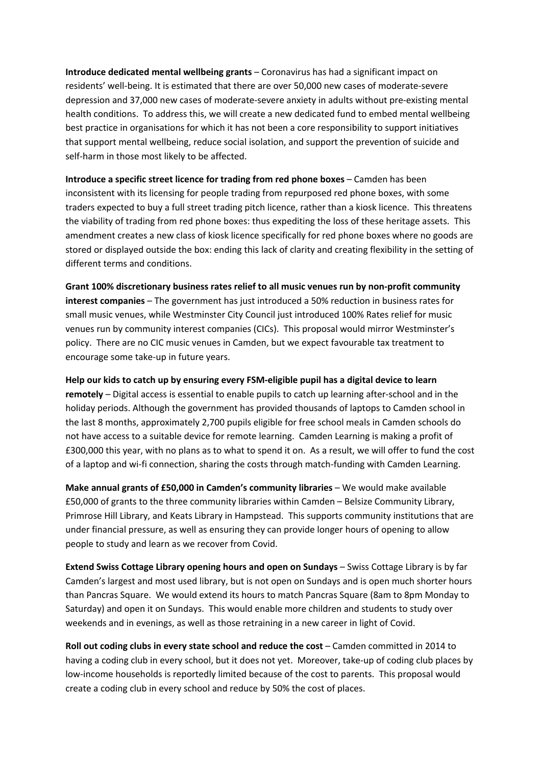**Introduce dedicated mental wellbeing grants** – Coronavirus has had a significant impact on residents' well-being. It is estimated that there are over 50,000 new cases of moderate-severe depression and 37,000 new cases of moderate-severe anxiety in adults without pre-existing mental health conditions. To address this, we will create a new dedicated fund to embed mental wellbeing best practice in organisations for which it has not been a core responsibility to support initiatives that support mental wellbeing, reduce social isolation, and support the prevention of suicide and self-harm in those most likely to be affected.

**Introduce a specific street licence for trading from red phone boxes - Camden has been** inconsistent with its licensing for people trading from repurposed red phone boxes, with some traders expected to buy a full street trading pitch licence, rather than a kiosk licence. This threatens the viability of trading from red phone boxes: thus expediting the loss of these heritage assets. This amendment creates a new class of kiosk licence specifically for red phone boxes where no goods are stored or displayed outside the box: ending this lack of clarity and creating flexibility in the setting of different terms and conditions.

**Grant 100% discretionary business rates relief to all music venues run by non-profit community interest companies** – The government has just introduced a 50% reduction in business rates for small music venues, while Westminster City Council just introduced 100% Rates relief for music venues run by community interest companies (CICs). This proposal would mirror Westminster's policy. There are no CIC music venues in Camden, but we expect favourable tax treatment to encourage some take-up in future years.

**Help our kids to catch up by ensuring every FSM-eligible pupil has a digital device to learn remotely** – Digital access is essential to enable pupils to catch up learning after-school and in the holiday periods. Although the government has provided thousands of laptops to Camden school in the last 8 months, approximately 2,700 pupils eligible for free school meals in Camden schools do not have access to a suitable device for remote learning. Camden Learning is making a profit of £300,000 this year, with no plans as to what to spend it on. As a result, we will offer to fund the cost of a laptop and wi-fi connection, sharing the costs through match-funding with Camden Learning.

**Make annual grants of £50,000 in Camden's community libraries - We would make available** £50,000 of grants to the three community libraries within Camden – Belsize Community Library, Primrose Hill Library, and Keats Library in Hampstead. This supports community institutions that are under financial pressure, as well as ensuring they can provide longer hours of opening to allow people to study and learn as we recover from Covid.

**Extend Swiss Cottage Library opening hours and open on Sundays** – Swiss Cottage Library is by far Camden's largest and most used library, but is not open on Sundays and is open much shorter hours than Pancras Square. We would extend its hours to match Pancras Square (8am to 8pm Monday to Saturday) and open it on Sundays. This would enable more children and students to study over weekends and in evenings, as well as those retraining in a new career in light of Covid.

**Roll out coding clubs in every state school and reduce the cost** – Camden committed in 2014 to having a coding club in every school, but it does not yet. Moreover, take-up of coding club places by low-income households is reportedly limited because of the cost to parents. This proposal would create a coding club in every school and reduce by 50% the cost of places.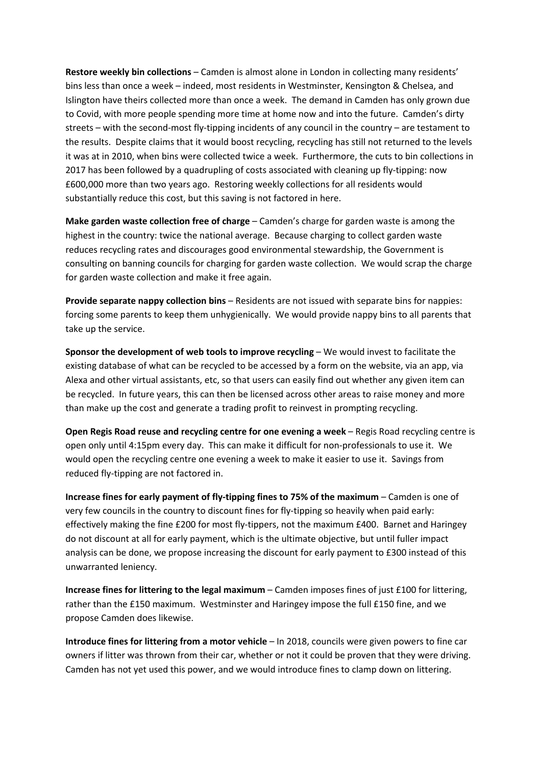**Restore weekly bin collections** – Camden is almost alone in London in collecting many residents' bins less than once a week – indeed, most residents in Westminster, Kensington & Chelsea, and Islington have theirs collected more than once a week. The demand in Camden has only grown due to Covid, with more people spending more time at home now and into the future. Camden's dirty streets – with the second-most fly-tipping incidents of any council in the country – are testament to the results. Despite claims that it would boost recycling, recycling has still not returned to the levels it was at in 2010, when bins were collected twice a week. Furthermore, the cuts to bin collections in 2017 has been followed by a quadrupling of costs associated with cleaning up fly-tipping: now £600,000 more than two years ago. Restoring weekly collections for all residents would substantially reduce this cost, but this saving is not factored in here.

**Make garden waste collection free of charge** – Camden's charge for garden waste is among the highest in the country: twice the national average. Because charging to collect garden waste reduces recycling rates and discourages good environmental stewardship, the Government is consulting on banning councils for charging for garden waste collection. We would scrap the charge for garden waste collection and make it free again.

**Provide separate nappy collection bins** – Residents are not issued with separate bins for nappies: forcing some parents to keep them unhygienically. We would provide nappy bins to all parents that take up the service.

**Sponsor the development of web tools to improve recycling** – We would invest to facilitate the existing database of what can be recycled to be accessed by a form on the website, via an app, via Alexa and other virtual assistants, etc, so that users can easily find out whether any given item can be recycled. In future years, this can then be licensed across other areas to raise money and more than make up the cost and generate a trading profit to reinvest in prompting recycling.

**Open Regis Road reuse and recycling centre for one evening a week** – Regis Road recycling centre is open only until 4:15pm every day. This can make it difficult for non-professionals to use it. We would open the recycling centre one evening a week to make it easier to use it. Savings from reduced fly-tipping are not factored in.

**Increase fines for early payment of fly-tipping fines to 75% of the maximum** – Camden is one of very few councils in the country to discount fines for fly-tipping so heavily when paid early: effectively making the fine £200 for most fly-tippers, not the maximum £400. Barnet and Haringey do not discount at all for early payment, which is the ultimate objective, but until fuller impact analysis can be done, we propose increasing the discount for early payment to £300 instead of this unwarranted leniency.

**Increase fines for littering to the legal maximum** – Camden imposes fines of just £100 for littering, rather than the £150 maximum. Westminster and Haringey impose the full £150 fine, and we propose Camden does likewise.

**Introduce fines for littering from a motor vehicle** – In 2018, councils were given powers to fine car owners if litter was thrown from their car, whether or not it could be proven that they were driving. Camden has not yet used this power, and we would introduce fines to clamp down on littering.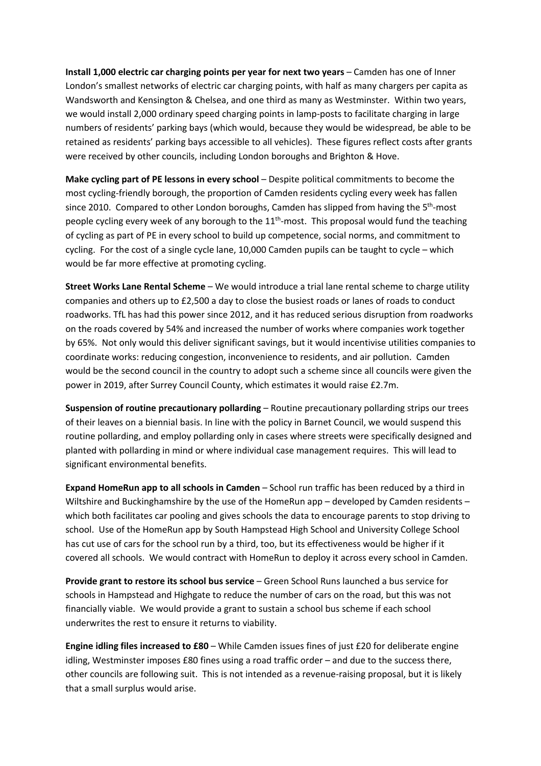**Install 1,000 electric car charging points per year for next two years** – Camden has one of Inner London's smallest networks of electric car charging points, with half as many chargers per capita as Wandsworth and Kensington & Chelsea, and one third as many as Westminster. Within two years, we would install 2,000 ordinary speed charging points in lamp-posts to facilitate charging in large numbers of residents' parking bays (which would, because they would be widespread, be able to be retained as residents' parking bays accessible to all vehicles). These figures reflect costs after grants were received by other councils, including London boroughs and Brighton & Hove.

**Make cycling part of PE lessons in every school – Despite political commitments to become the** most cycling-friendly borough, the proportion of Camden residents cycling every week has fallen since 2010. Compared to other London boroughs, Camden has slipped from having the 5<sup>th</sup>-most people cycling every week of any borough to the  $11<sup>th</sup>$ -most. This proposal would fund the teaching of cycling as part of PE in every school to build up competence, social norms, and commitment to cycling. For the cost of a single cycle lane, 10,000 Camden pupils can be taught to cycle – which would be far more effective at promoting cycling.

**Street Works Lane Rental Scheme** – We would introduce a trial lane rental scheme to charge utility companies and others up to £2,500 a day to close the busiest roads or lanes of roads to conduct roadworks. TfL has had this power since 2012, and it has reduced serious disruption from roadworks on the roads covered by 54% and increased the number of works where companies work together by 65%. Not only would this deliver significant savings, but it would incentivise utilities companies to coordinate works: reducing congestion, inconvenience to residents, and air pollution. Camden would be the second council in the country to adopt such a scheme since all councils were given the power in 2019, after Surrey Council County, which estimates it would raise £2.7m.

**Suspension of routine precautionary pollarding** – Routine precautionary pollarding strips our trees of their leaves on a biennial basis. In line with the policy in Barnet Council, we would suspend this routine pollarding, and employ pollarding only in cases where streets were specifically designed and planted with pollarding in mind or where individual case management requires. This will lead to significant environmental benefits.

**Expand HomeRun app to all schools in Camden** – School run traffic has been reduced by a third in Wiltshire and Buckinghamshire by the use of the HomeRun app – developed by Camden residents – which both facilitates car pooling and gives schools the data to encourage parents to stop driving to school. Use of the HomeRun app by South Hampstead High School and University College School has cut use of cars for the school run by a third, too, but its effectiveness would be higher if it covered all schools. We would contract with HomeRun to deploy it across every school in Camden.

**Provide grant to restore its school bus service** – Green School Runs launched a bus service for schools in Hampstead and Highgate to reduce the number of cars on the road, but this was not financially viable. We would provide a grant to sustain a school bus scheme if each school underwrites the rest to ensure it returns to viability.

**Engine idling files increased to £80** – While Camden issues fines of just £20 for deliberate engine idling, Westminster imposes £80 fines using a road traffic order – and due to the success there, other councils are following suit. This is not intended as a revenue-raising proposal, but it is likely that a small surplus would arise.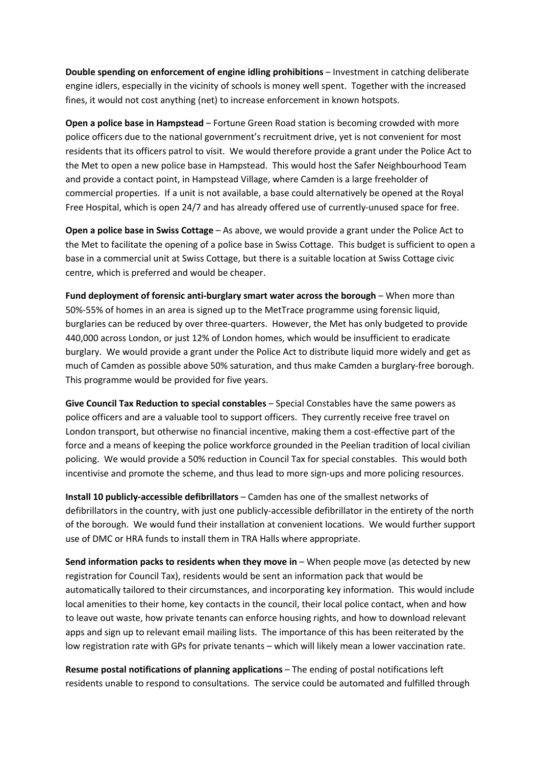**Double spending on enforcement of engine idling prohibitions** – Investment in catching deliberate engine idlers, especially in the vicinity of schools is money well spent. Together with the increased fines, it would not cost anything (net) to increase enforcement in known hotspots.

**Open a police base in Hampstead** – Fortune Green Road station is becoming crowded with more police officers due to the national government's recruitment drive, yet is not convenient for most residents that its officers patrol to visit. We would therefore provide a grant under the Police Act to the Met to open a new police base in Hampstead. This would host the Safer Neighbourhood Team and provide a contact point, in Hampstead Village, where Camden is a large freeholder of commercial properties. If a unit is not available, a base could alternatively be opened at the Royal Free Hospital, which is open 24/7 and has already offered use of currently-unused space for free.

**Open a police base in Swiss Cottage** – As above, we would provide a grant under the Police Act to the Met to facilitate the opening of a police base in Swiss Cottage. This budget is sufficient to open a base in a commercial unit at Swiss Cottage, but there is a suitable location at Swiss Cottage civic centre, which is preferred and would be cheaper.

**Fund deployment of forensic anti-burglary smart water across the borough** – When more than 50%-55% of homes in an area is signed up to the MetTrace programme using forensic liquid, burglaries can be reduced by over three-quarters. However, the Met has only budgeted to provide 440,000 across London, or just 12% of London homes, which would be insufficient to eradicate burglary. We would provide a grant under the Police Act to distribute liquid more widely and get as much of Camden as possible above 50% saturation, and thus make Camden a burglary-free borough. This programme would be provided for five years.

**Give Council Tax Reduction to special constables** – Special Constables have the same powers as police officers and are a valuable tool to support officers. They currently receive free travel on London transport, but otherwise no financial incentive, making them a cost-effective part of the force and a means of keeping the police workforce grounded in the Peelian tradition of local civilian policing. We would provide a 50% reduction in Council Tax for special constables. This would both incentivise and promote the scheme, and thus lead to more sign-ups and more policing resources.

**Install 10 publicly-accessible defibrillators** – Camden has one of the smallest networks of defibrillators in the country, with just one publicly-accessible defibrillator in the entirety of the north of the borough. We would fund their installation at convenient locations. We would further support use of DMC or HRA funds to install them in TRA Halls where appropriate.

**Send information packs to residents when they move in** – When people move (as detected by new registration for Council Tax), residents would be sent an information pack that would be automatically tailored to their circumstances, and incorporating key information. This would include local amenities to their home, key contacts in the council, their local police contact, when and how to leave out waste, how private tenants can enforce housing rights, and how to download relevant apps and sign up to relevant email mailing lists. The importance of this has been reiterated by the low registration rate with GPs for private tenants – which will likely mean a lower vaccination rate.

**Resume postal notifications of planning applications** – The ending of postal notifications left residents unable to respond to consultations. The service could be automated and fulfilled through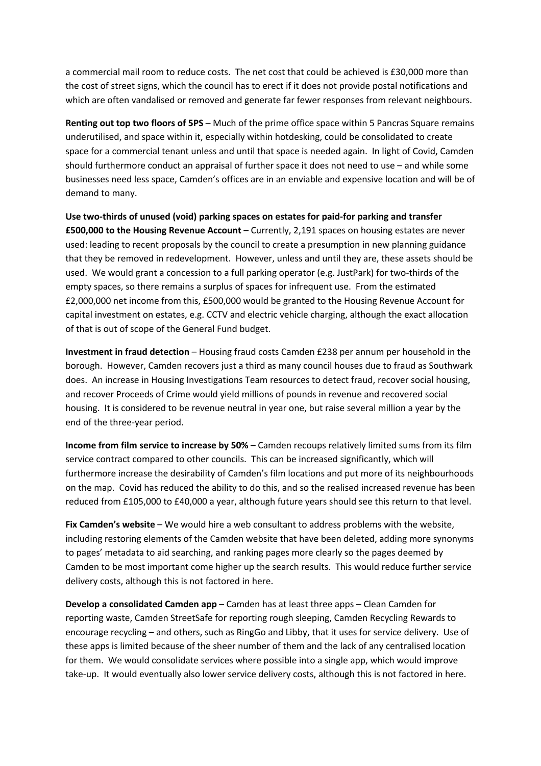a commercial mail room to reduce costs. The net cost that could be achieved is £30,000 more than the cost of street signs, which the council has to erect if it does not provide postal notifications and which are often vandalised or removed and generate far fewer responses from relevant neighbours.

**Renting out top two floors of 5PS** – Much of the prime office space within 5 Pancras Square remains underutilised, and space within it, especially within hotdesking, could be consolidated to create space for a commercial tenant unless and until that space is needed again. In light of Covid, Camden should furthermore conduct an appraisal of further space it does not need to use – and while some businesses need less space, Camden's offices are in an enviable and expensive location and will be of demand to many.

**Use two-thirds of unused (void) parking spaces on estates for paid-for parking and transfer £500,000 to the Housing Revenue Account** – Currently, 2,191 spaces on housing estates are never used: leading to recent proposals by the council to create a presumption in new planning guidance that they be removed in redevelopment. However, unless and until they are, these assets should be used. We would grant a concession to a full parking operator (e.g. JustPark) for two-thirds of the empty spaces, so there remains a surplus of spaces for infrequent use. From the estimated £2,000,000 net income from this, £500,000 would be granted to the Housing Revenue Account for capital investment on estates, e.g. CCTV and electric vehicle charging, although the exact allocation of that is out of scope of the General Fund budget.

**Investment in fraud detection** – Housing fraud costs Camden £238 per annum per household in the borough. However, Camden recovers just a third as many council houses due to fraud as Southwark does. An increase in Housing Investigations Team resources to detect fraud, recover social housing, and recover Proceeds of Crime would yield millions of pounds in revenue and recovered social housing. It is considered to be revenue neutral in year one, but raise several million a year by the end of the three-year period.

**Income from film service to increase by 50%** – Camden recoups relatively limited sums from its film service contract compared to other councils. This can be increased significantly, which will furthermore increase the desirability of Camden's film locations and put more of its neighbourhoods on the map. Covid has reduced the ability to do this, and so the realised increased revenue has been reduced from £105,000 to £40,000 a year, although future years should see this return to that level.

**Fix Camden's website** – We would hire a web consultant to address problems with the website, including restoring elements of the Camden website that have been deleted, adding more synonyms to pages' metadata to aid searching, and ranking pages more clearly so the pages deemed by Camden to be most important come higher up the search results. This would reduce further service delivery costs, although this is not factored in here.

**Develop a consolidated Camden app** – Camden has at least three apps – Clean Camden for reporting waste, Camden StreetSafe for reporting rough sleeping, Camden Recycling Rewards to encourage recycling – and others, such as RingGo and Libby, that it uses for service delivery. Use of these apps is limited because of the sheer number of them and the lack of any centralised location for them. We would consolidate services where possible into a single app, which would improve take-up. It would eventually also lower service delivery costs, although this is not factored in here.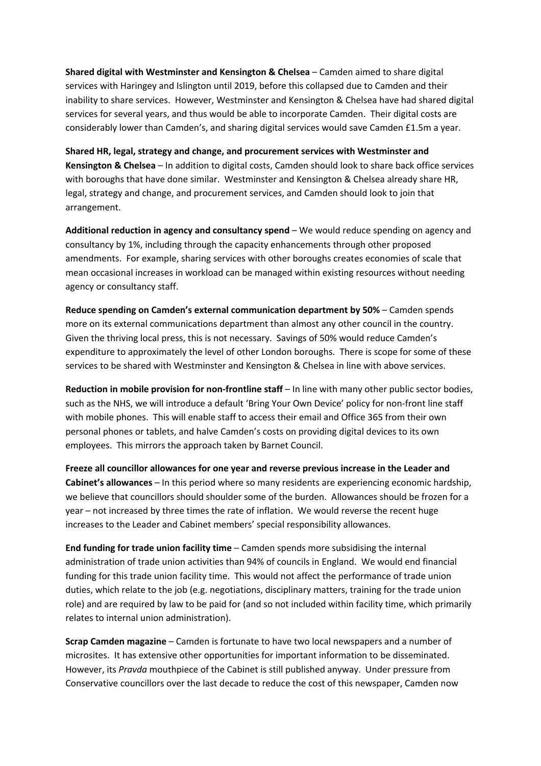**Shared digital with Westminster and Kensington & Chelsea** – Camden aimed to share digital services with Haringey and Islington until 2019, before this collapsed due to Camden and their inability to share services. However, Westminster and Kensington & Chelsea have had shared digital services for several years, and thus would be able to incorporate Camden. Their digital costs are considerably lower than Camden's, and sharing digital services would save Camden £1.5m a year.

**Shared HR, legal, strategy and change, and procurement services with Westminster and Kensington & Chelsea** – In addition to digital costs, Camden should look to share back office services with boroughs that have done similar. Westminster and Kensington & Chelsea already share HR, legal, strategy and change, and procurement services, and Camden should look to join that arrangement.

**Additional reduction in agency and consultancy spend** – We would reduce spending on agency and consultancy by 1%, including through the capacity enhancements through other proposed amendments. For example, sharing services with other boroughs creates economies of scale that mean occasional increases in workload can be managed within existing resources without needing agency or consultancy staff.

**Reduce spending on Camden's external communication department by 50%** – Camden spends more on its external communications department than almost any other council in the country. Given the thriving local press, this is not necessary. Savings of 50% would reduce Camden's expenditure to approximately the level of other London boroughs. There is scope for some of these services to be shared with Westminster and Kensington & Chelsea in line with above services.

**Reduction in mobile provision for non-frontline staff** – In line with many other public sector bodies, such as the NHS, we will introduce a default 'Bring Your Own Device' policy for non-front line staff with mobile phones. This will enable staff to access their email and Office 365 from their own personal phones or tablets, and halve Camden's costs on providing digital devices to its own employees. This mirrors the approach taken by Barnet Council.

**Freeze all councillor allowances for one year and reverse previous increase in the Leader and Cabinet's allowances** – In this period where so many residents are experiencing economic hardship, we believe that councillors should shoulder some of the burden. Allowances should be frozen for a year – not increased by three times the rate of inflation. We would reverse the recent huge increases to the Leader and Cabinet members' special responsibility allowances.

**End funding for trade union facility time** – Camden spends more subsidising the internal administration of trade union activities than 94% of councils in England. We would end financial funding for this trade union facility time. This would not affect the performance of trade union duties, which relate to the job (e.g. negotiations, disciplinary matters, training for the trade union role) and are required by law to be paid for (and so not included within facility time, which primarily relates to internal union administration).

**Scrap Camden magazine** – Camden is fortunate to have two local newspapers and a number of microsites. It has extensive other opportunities for important information to be disseminated. However, its *Pravda* mouthpiece of the Cabinet is still published anyway. Under pressure from Conservative councillors over the last decade to reduce the cost of this newspaper, Camden now